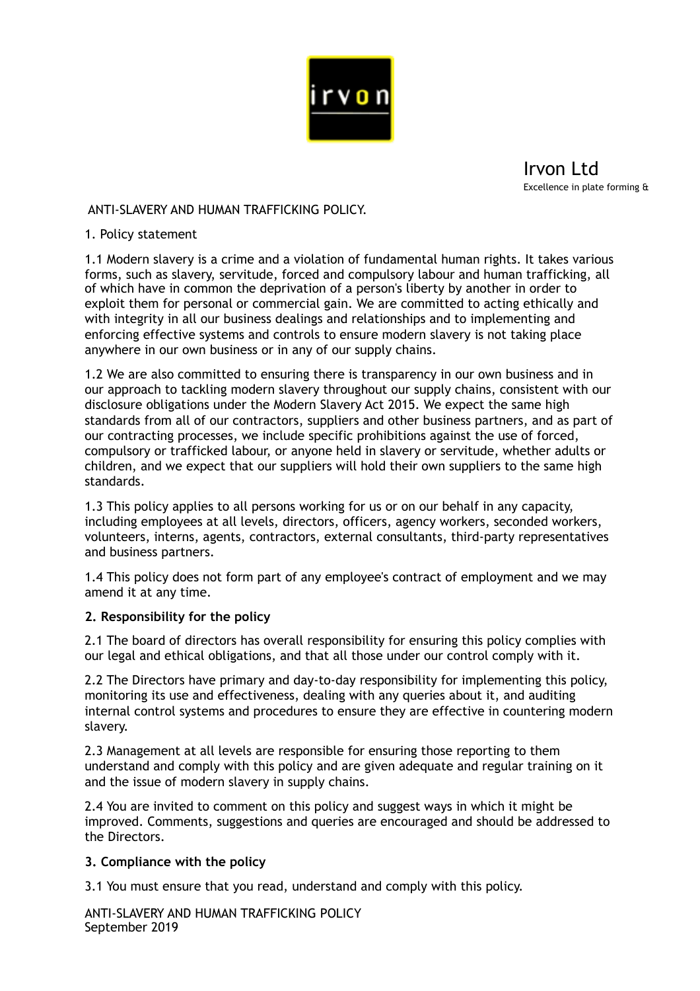

Irvon Ltd Excellence in plate forming &

# ANTI-SLAVERY AND HUMAN TRAFFICKING POLICY.

### 1. Policy statement

1.1 Modern slavery is a crime and a violation of fundamental human rights. It takes various forms, such as slavery, servitude, forced and compulsory labour and human trafficking, all of which have in common the deprivation of a person's liberty by another in order to exploit them for personal or commercial gain. We are committed to acting ethically and with integrity in all our business dealings and relationships and to implementing and enforcing effective systems and controls to ensure modern slavery is not taking place anywhere in our own business or in any of our supply chains.

1.2 We are also committed to ensuring there is transparency in our own business and in our approach to tackling modern slavery throughout our supply chains, consistent with our disclosure obligations under the Modern Slavery Act 2015. We expect the same high standards from all of our contractors, suppliers and other business partners, and as part of our contracting processes, we include specific prohibitions against the use of forced, compulsory or trafficked labour, or anyone held in slavery or servitude, whether adults or children, and we expect that our suppliers will hold their own suppliers to the same high standards.

1.3 This policy applies to all persons working for us or on our behalf in any capacity, including employees at all levels, directors, officers, agency workers, seconded workers, volunteers, interns, agents, contractors, external consultants, third-party representatives and business partners.

1.4 This policy does not form part of any employee's contract of employment and we may amend it at any time.

## **2. Responsibility for the policy**

2.1 The board of directors has overall responsibility for ensuring this policy complies with our legal and ethical obligations, and that all those under our control comply with it.

2.2 The Directors have primary and day-to-day responsibility for implementing this policy, monitoring its use and effectiveness, dealing with any queries about it, and auditing internal control systems and procedures to ensure they are effective in countering modern slavery.

2.3 Management at all levels are responsible for ensuring those reporting to them understand and comply with this policy and are given adequate and regular training on it and the issue of modern slavery in supply chains.

2.4 You are invited to comment on this policy and suggest ways in which it might be improved. Comments, suggestions and queries are encouraged and should be addressed to the Directors.

## **3. Compliance with the policy**

3.1 You must ensure that you read, understand and comply with this policy.

ANTI-SLAVERY AND HUMAN TRAFFICKING POLICY September 2019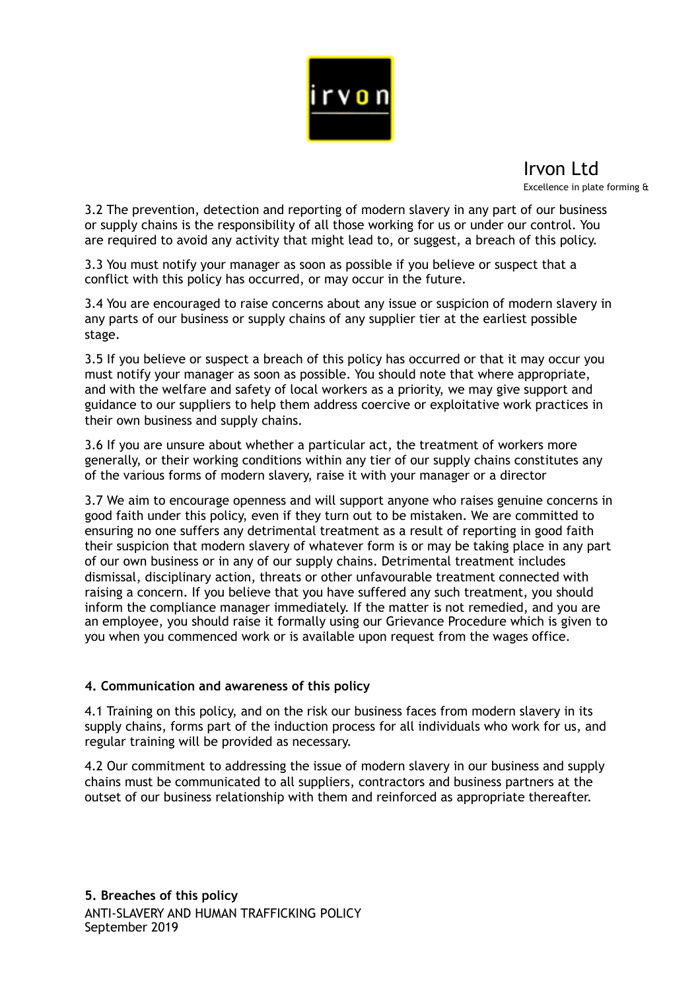

Irvon Ltd Excellence in plate forming &

3.2 The prevention, detection and reporting of modern slavery in any part of our business or supply chains is the responsibility of all those working for us or under our control. You are required to avoid any activity that might lead to, or suggest, a breach of this policy.

3.3 You must notify your manager as soon as possible if you believe or suspect that a conflict with this policy has occurred, or may occur in the future.

3.4 You are encouraged to raise concerns about any issue or suspicion of modern slavery in any parts of our business or supply chains of any supplier tier at the earliest possible stage.

3.5 If you believe or suspect a breach of this policy has occurred or that it may occur you must notify your manager as soon as possible. You should note that where appropriate, and with the welfare and safety of local workers as a priority, we may give support and guidance to our suppliers to help them address coercive or exploitative work practices in their own business and supply chains.

3.6 If you are unsure about whether a particular act, the treatment of workers more generally, or their working conditions within any tier of our supply chains constitutes any of the various forms of modern slavery, raise it with your manager or a director

3.7 We aim to encourage openness and will support anyone who raises genuine concerns in good faith under this policy, even if they turn out to be mistaken. We are committed to ensuring no one suffers any detrimental treatment as a result of reporting in good faith their suspicion that modern slavery of whatever form is or may be taking place in any part of our own business or in any of our supply chains. Detrimental treatment includes dismissal, disciplinary action, threats or other unfavourable treatment connected with raising a concern. If you believe that you have suffered any such treatment, you should inform the compliance manager immediately. If the matter is not remedied, and you are an employee, you should raise it formally using our Grievance Procedure which is given to you when you commenced work or is available upon request from the wages office.

## **4. Communication and awareness of this policy**

4.1 Training on this policy, and on the risk our business faces from modern slavery in its supply chains, forms part of the induction process for all individuals who work for us, and regular training will be provided as necessary.

4.2 Our commitment to addressing the issue of modern slavery in our business and supply chains must be communicated to all suppliers, contractors and business partners at the outset of our business relationship with them and reinforced as appropriate thereafter.